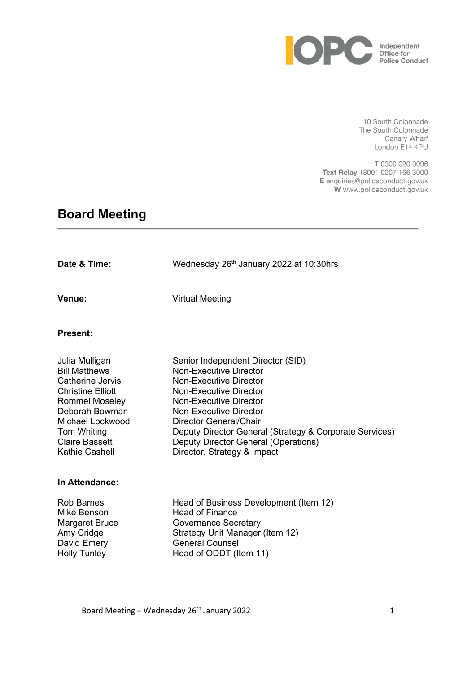

10 South Colonnade The South Colonnade Canary Wharf London E14 4PU

T 0300 020 0096 Text Relay 18001 0207 166 3000 E enquiries@policeconduct.gov.uk W www.policeconduct.gov.uk

# **Board Meeting**

| Date & Time:                                                                                                                                                                                             | Wednesday 26th January 2022 at 10:30hrs                                                                                                                                                                                                                                                                                                                     |
|----------------------------------------------------------------------------------------------------------------------------------------------------------------------------------------------------------|-------------------------------------------------------------------------------------------------------------------------------------------------------------------------------------------------------------------------------------------------------------------------------------------------------------------------------------------------------------|
| Venue:                                                                                                                                                                                                   | <b>Virtual Meeting</b>                                                                                                                                                                                                                                                                                                                                      |
| <b>Present:</b>                                                                                                                                                                                          |                                                                                                                                                                                                                                                                                                                                                             |
| Julia Mulligan<br><b>Bill Matthews</b><br>Catherine Jervis<br><b>Christine Elliott</b><br>Rommel Moseley<br>Deborah Bowman<br>Michael Lockwood<br>Tom Whiting<br><b>Claire Bassett</b><br>Kathie Cashell | Senior Independent Director (SID)<br><b>Non-Executive Director</b><br><b>Non-Executive Director</b><br><b>Non-Executive Director</b><br>Non-Executive Director<br>Non-Executive Director<br><b>Director General/Chair</b><br>Deputy Director General (Strategy & Corporate Services)<br>Deputy Director General (Operations)<br>Director, Strategy & Impact |
| In Attendance:                                                                                                                                                                                           |                                                                                                                                                                                                                                                                                                                                                             |
| <b>Rob Barnes</b><br>Mike Benson<br>Margaret Bruce<br>Amy Cridge<br>David Emery<br><b>Holly Tunley</b>                                                                                                   | Head of Business Development (Item 12)<br><b>Head of Finance</b><br><b>Governance Secretary</b><br>Strategy Unit Manager (Item 12)<br><b>General Counsel</b><br>Head of ODDT (Item 11)                                                                                                                                                                      |

Board Meeting – Wednesday 26th January 2022 1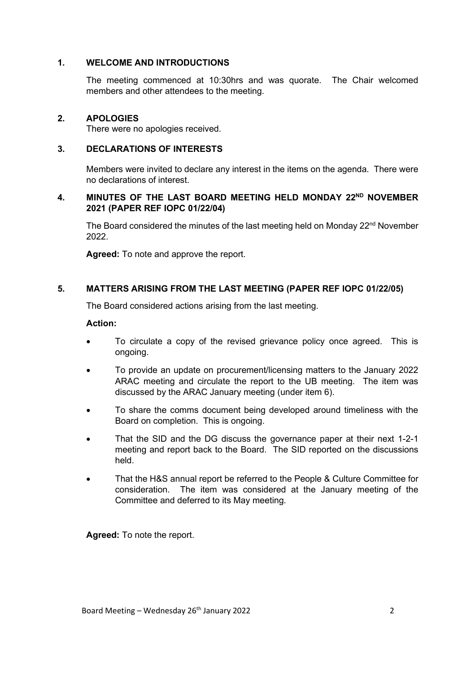#### **1. WELCOME AND INTRODUCTIONS**

The meeting commenced at 10:30hrs and was quorate. The Chair welcomed members and other attendees to the meeting.

#### **2. APOLOGIES**

There were no apologies received.

#### **3. DECLARATIONS OF INTERESTS**

Members were invited to declare any interest in the items on the agenda. There were no declarations of interest.

### **4. MINUTES OF THE LAST BOARD MEETING HELD MONDAY 22ND NOVEMBER 2021 (PAPER REF IOPC 01/22/04)**

The Board considered the minutes of the last meeting held on Monday 22<sup>nd</sup> November 2022.

**Agreed:** To note and approve the report.

#### **5. MATTERS ARISING FROM THE LAST MEETING (PAPER REF IOPC 01/22/05)**

The Board considered actions arising from the last meeting.

#### **Action:**

- To circulate a copy of the revised grievance policy once agreed. This is ongoing.
- To provide an update on procurement/licensing matters to the January 2022 ARAC meeting and circulate the report to the UB meeting. The item was discussed by the ARAC January meeting (under item 6).
- To share the comms document being developed around timeliness with the Board on completion. This is ongoing.
- That the SID and the DG discuss the governance paper at their next 1-2-1 meeting and report back to the Board. The SID reported on the discussions held.
- That the H&S annual report be referred to the People & Culture Committee for consideration. The item was considered at the January meeting of the Committee and deferred to its May meeting.

**Agreed:** To note the report.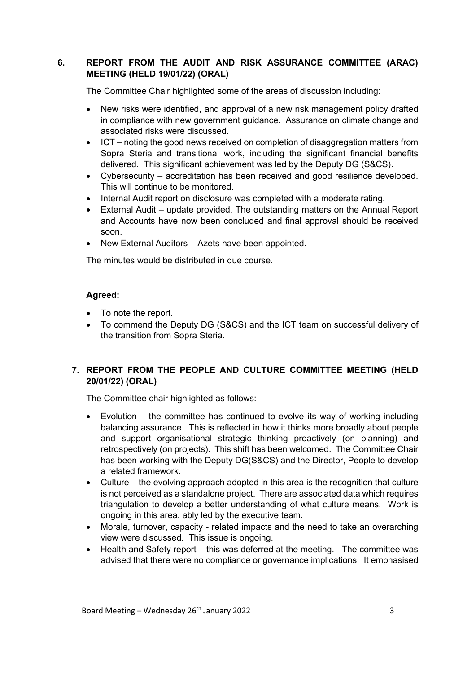## **6. REPORT FROM THE AUDIT AND RISK ASSURANCE COMMITTEE (ARAC) MEETING (HELD 19/01/22) (ORAL)**

The Committee Chair highlighted some of the areas of discussion including:

- New risks were identified, and approval of a new risk management policy drafted in compliance with new government guidance. Assurance on climate change and associated risks were discussed.
- ICT noting the good news received on completion of disaggregation matters from Sopra Steria and transitional work, including the significant financial benefits delivered. This significant achievement was led by the Deputy DG (S&CS).
- Cybersecurity accreditation has been received and good resilience developed. This will continue to be monitored.
- Internal Audit report on disclosure was completed with a moderate rating.
- External Audit update provided. The outstanding matters on the Annual Report and Accounts have now been concluded and final approval should be received soon.
- New External Auditors Azets have been appointed.

The minutes would be distributed in due course.

#### **Agreed:**

- To note the report.
- To commend the Deputy DG (S&CS) and the ICT team on successful delivery of the transition from Sopra Steria.

## **7. REPORT FROM THE PEOPLE AND CULTURE COMMITTEE MEETING (HELD 20/01/22) (ORAL)**

The Committee chair highlighted as follows:

- Evolution the committee has continued to evolve its way of working including balancing assurance. This is reflected in how it thinks more broadly about people and support organisational strategic thinking proactively (on planning) and retrospectively (on projects). This shift has been welcomed. The Committee Chair has been working with the Deputy DG(S&CS) and the Director, People to develop a related framework.
- Culture the evolving approach adopted in this area is the recognition that culture is not perceived as a standalone project. There are associated data which requires triangulation to develop a better understanding of what culture means. Work is ongoing in this area, ably led by the executive team.
- Morale, turnover, capacity related impacts and the need to take an overarching view were discussed. This issue is ongoing.
- Health and Safety report this was deferred at the meeting. The committee was advised that there were no compliance or governance implications. It emphasised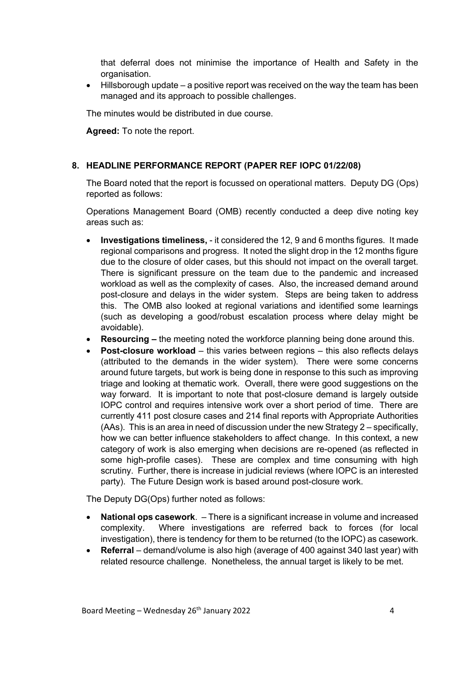that deferral does not minimise the importance of Health and Safety in the organisation.

• Hillsborough update – a positive report was received on the way the team has been managed and its approach to possible challenges.

The minutes would be distributed in due course.

**Agreed:** To note the report.

#### **8. HEADLINE PERFORMANCE REPORT (PAPER REF IOPC 01/22/08)**

The Board noted that the report is focussed on operational matters. Deputy DG (Ops) reported as follows:

Operations Management Board (OMB) recently conducted a deep dive noting key areas such as:

- **Investigations timeliness,** it considered the 12, 9 and 6 months figures. It made regional comparisons and progress. It noted the slight drop in the 12 months figure due to the closure of older cases, but this should not impact on the overall target. There is significant pressure on the team due to the pandemic and increased workload as well as the complexity of cases. Also, the increased demand around post-closure and delays in the wider system. Steps are being taken to address this. The OMB also looked at regional variations and identified some learnings (such as developing a good/robust escalation process where delay might be avoidable).
- **Resourcing –** the meeting noted the workforce planning being done around this.
- **Post-closure workload** this varies between regions this also reflects delays (attributed to the demands in the wider system). There were some concerns around future targets, but work is being done in response to this such as improving triage and looking at thematic work. Overall, there were good suggestions on the way forward. It is important to note that post-closure demand is largely outside IOPC control and requires intensive work over a short period of time. There are currently 411 post closure cases and 214 final reports with Appropriate Authorities (AAs). This is an area in need of discussion under the new Strategy 2 – specifically, how we can better influence stakeholders to affect change. In this context, a new category of work is also emerging when decisions are re-opened (as reflected in some high-profile cases). These are complex and time consuming with high scrutiny. Further, there is increase in judicial reviews (where IOPC is an interested party). The Future Design work is based around post-closure work.

The Deputy DG(Ops) further noted as follows:

- **National ops casework**. There is a significant increase in volume and increased complexity. Where investigations are referred back to forces (for local investigation), there is tendency for them to be returned (to the IOPC) as casework.
- **Referral**  demand/volume is also high (average of 400 against 340 last year) with related resource challenge. Nonetheless, the annual target is likely to be met.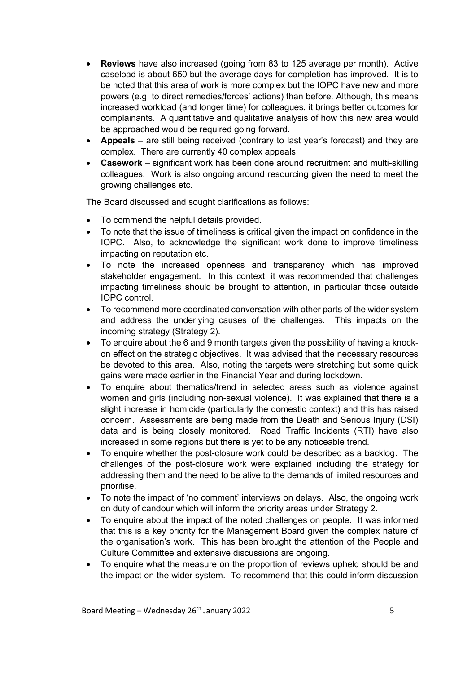- **Reviews** have also increased (going from 83 to 125 average per month). Active caseload is about 650 but the average days for completion has improved. It is to be noted that this area of work is more complex but the IOPC have new and more powers (e.g. to direct remedies/forces' actions) than before. Although, this means increased workload (and longer time) for colleagues, it brings better outcomes for complainants. A quantitative and qualitative analysis of how this new area would be approached would be required going forward.
- **Appeals** are still being received (contrary to last year's forecast) and they are complex. There are currently 40 complex appeals.
- **Casework** significant work has been done around recruitment and multi-skilling colleagues. Work is also ongoing around resourcing given the need to meet the growing challenges etc.

The Board discussed and sought clarifications as follows:

- To commend the helpful details provided.
- To note that the issue of timeliness is critical given the impact on confidence in the IOPC. Also, to acknowledge the significant work done to improve timeliness impacting on reputation etc.
- To note the increased openness and transparency which has improved stakeholder engagement. In this context, it was recommended that challenges impacting timeliness should be brought to attention, in particular those outside IOPC control.
- To recommend more coordinated conversation with other parts of the wider system and address the underlying causes of the challenges. This impacts on the incoming strategy (Strategy 2).
- To enquire about the 6 and 9 month targets given the possibility of having a knockon effect on the strategic objectives. It was advised that the necessary resources be devoted to this area. Also, noting the targets were stretching but some quick gains were made earlier in the Financial Year and during lockdown.
- To enquire about thematics/trend in selected areas such as violence against women and girls (including non-sexual violence). It was explained that there is a slight increase in homicide (particularly the domestic context) and this has raised concern. Assessments are being made from the Death and Serious Injury (DSI) data and is being closely monitored. Road Traffic Incidents (RTI) have also increased in some regions but there is yet to be any noticeable trend.
- To enquire whether the post-closure work could be described as a backlog. The challenges of the post-closure work were explained including the strategy for addressing them and the need to be alive to the demands of limited resources and prioritise.
- To note the impact of 'no comment' interviews on delays. Also, the ongoing work on duty of candour which will inform the priority areas under Strategy 2.
- To enquire about the impact of the noted challenges on people. It was informed that this is a key priority for the Management Board given the complex nature of the organisation's work. This has been brought the attention of the People and Culture Committee and extensive discussions are ongoing.
- To enquire what the measure on the proportion of reviews upheld should be and the impact on the wider system. To recommend that this could inform discussion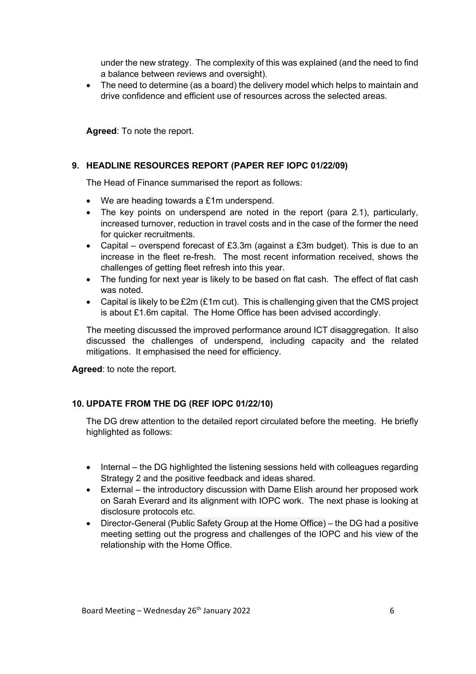under the new strategy. The complexity of this was explained (and the need to find a balance between reviews and oversight).

• The need to determine (as a board) the delivery model which helps to maintain and drive confidence and efficient use of resources across the selected areas.

**Agreed**: To note the report.

## **9. HEADLINE RESOURCES REPORT (PAPER REF IOPC 01/22/09)**

The Head of Finance summarised the report as follows:

- We are heading towards a £1m underspend.
- The key points on underspend are noted in the report (para 2.1), particularly, increased turnover, reduction in travel costs and in the case of the former the need for quicker recruitments.
- Capital overspend forecast of £3.3m (against a £3m budget). This is due to an increase in the fleet re-fresh. The most recent information received, shows the challenges of getting fleet refresh into this year.
- The funding for next year is likely to be based on flat cash. The effect of flat cash was noted.
- Capital is likely to be £2m (£1m cut). This is challenging given that the CMS project is about £1.6m capital. The Home Office has been advised accordingly.

The meeting discussed the improved performance around ICT disaggregation. It also discussed the challenges of underspend, including capacity and the related mitigations. It emphasised the need for efficiency.

**Agreed**: to note the report.

## **10. UPDATE FROM THE DG (REF IOPC 01/22/10)**

The DG drew attention to the detailed report circulated before the meeting. He briefly highlighted as follows:

- Internal the DG highlighted the listening sessions held with colleagues regarding Strategy 2 and the positive feedback and ideas shared.
- External the introductory discussion with Dame Elish around her proposed work on Sarah Everard and its alignment with IOPC work. The next phase is looking at disclosure protocols etc.
- Director-General (Public Safety Group at the Home Office) the DG had a positive meeting setting out the progress and challenges of the IOPC and his view of the relationship with the Home Office.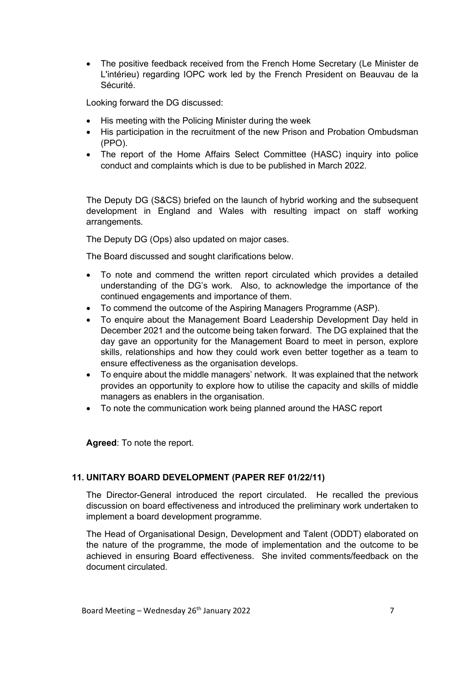• The positive feedback received from the French Home Secretary (Le Minister de L'intérieu) regarding IOPC work led by the French President on Beauvau de la Sécurité.

Looking forward the DG discussed:

- His meeting with the Policing Minister during the week
- His participation in the recruitment of the new Prison and Probation Ombudsman (PPO).
- The report of the Home Affairs Select Committee (HASC) inquiry into police conduct and complaints which is due to be published in March 2022.

The Deputy DG (S&CS) briefed on the launch of hybrid working and the subsequent development in England and Wales with resulting impact on staff working arrangements.

The Deputy DG (Ops) also updated on major cases.

The Board discussed and sought clarifications below.

- To note and commend the written report circulated which provides a detailed understanding of the DG's work. Also, to acknowledge the importance of the continued engagements and importance of them.
- To commend the outcome of the Aspiring Managers Programme (ASP).
- To enquire about the Management Board Leadership Development Day held in December 2021 and the outcome being taken forward. The DG explained that the day gave an opportunity for the Management Board to meet in person, explore skills, relationships and how they could work even better together as a team to ensure effectiveness as the organisation develops.
- To enquire about the middle managers' network. It was explained that the network provides an opportunity to explore how to utilise the capacity and skills of middle managers as enablers in the organisation.
- To note the communication work being planned around the HASC report

**Agreed**: To note the report.

## **11. UNITARY BOARD DEVELOPMENT (PAPER REF 01/22/11)**

The Director-General introduced the report circulated. He recalled the previous discussion on board effectiveness and introduced the preliminary work undertaken to implement a board development programme.

The Head of Organisational Design, Development and Talent (ODDT) elaborated on the nature of the programme, the mode of implementation and the outcome to be achieved in ensuring Board effectiveness. She invited comments/feedback on the document circulated.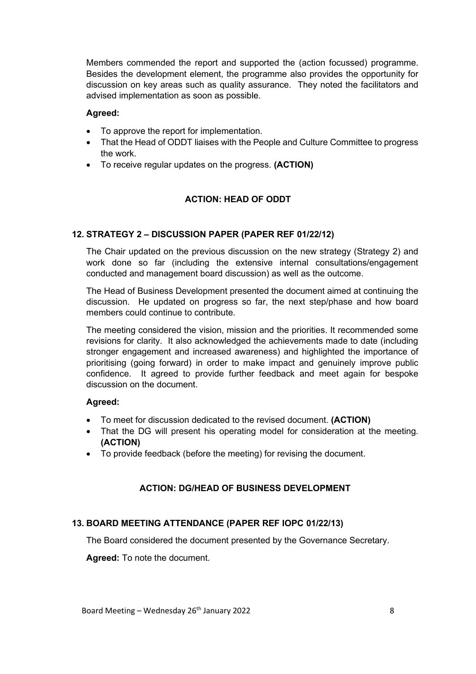Members commended the report and supported the (action focussed) programme. Besides the development element, the programme also provides the opportunity for discussion on key areas such as quality assurance. They noted the facilitators and advised implementation as soon as possible.

#### **Agreed:**

- To approve the report for implementation.
- That the Head of ODDT liaises with the People and Culture Committee to progress the work.
- To receive regular updates on the progress. **(ACTION)**

## **ACTION: HEAD OF ODDT**

## **12. STRATEGY 2 – DISCUSSION PAPER (PAPER REF 01/22/12)**

The Chair updated on the previous discussion on the new strategy (Strategy 2) and work done so far (including the extensive internal consultations/engagement conducted and management board discussion) as well as the outcome.

The Head of Business Development presented the document aimed at continuing the discussion. He updated on progress so far, the next step/phase and how board members could continue to contribute.

The meeting considered the vision, mission and the priorities. It recommended some revisions for clarity. It also acknowledged the achievements made to date (including stronger engagement and increased awareness) and highlighted the importance of prioritising (going forward) in order to make impact and genuinely improve public confidence. It agreed to provide further feedback and meet again for bespoke discussion on the document.

#### **Agreed:**

- To meet for discussion dedicated to the revised document. **(ACTION)**
- That the DG will present his operating model for consideration at the meeting. **(ACTION)**
- To provide feedback (before the meeting) for revising the document.

## **ACTION: DG/HEAD OF BUSINESS DEVELOPMENT**

#### **13. BOARD MEETING ATTENDANCE (PAPER REF IOPC 01/22/13)**

The Board considered the document presented by the Governance Secretary.

**Agreed:** To note the document.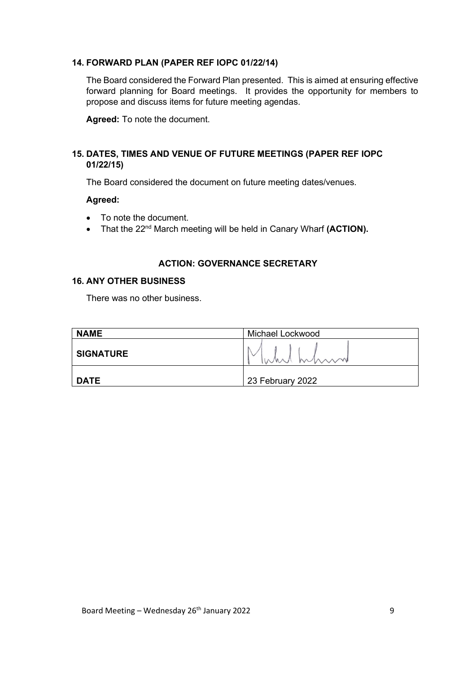#### **14. FORWARD PLAN (PAPER REF IOPC 01/22/14)**

The Board considered the Forward Plan presented. This is aimed at ensuring effective forward planning for Board meetings. It provides the opportunity for members to propose and discuss items for future meeting agendas.

**Agreed:** To note the document.

#### **15. DATES, TIMES AND VENUE OF FUTURE MEETINGS (PAPER REF IOPC 01/22/15)**

The Board considered the document on future meeting dates/venues.

#### **Agreed:**

- To note the document.
- That the 22<sup>nd</sup> March meeting will be held in Canary Wharf (ACTION).

#### **ACTION: GOVERNANCE SECRETARY**

#### **16. ANY OTHER BUSINESS**

There was no other business.

| <b>NAME</b>      | Michael Lockwood |
|------------------|------------------|
| <b>SIGNATURE</b> | Inhi mini        |
| <b>DATE</b>      | 23 February 2022 |